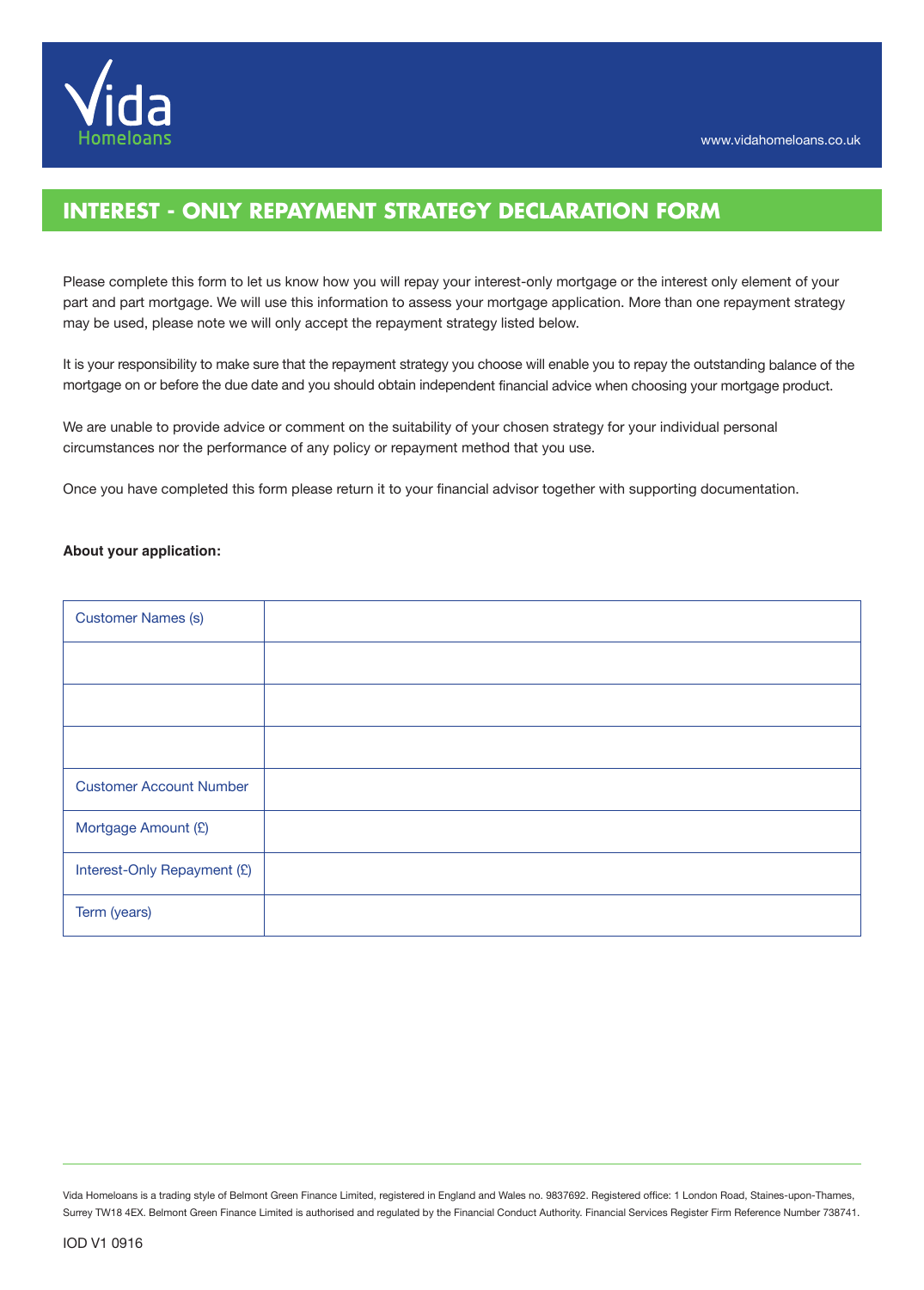

# **INTEREST - ONLY REPAYMENT STRATEGY DECLARATION FORM**

Please complete this form to let us know how you will repay your interest-only mortgage or the interest only element of your part and part mortgage. We will use this information to assess your mortgage application. More than one repayment strategy may be used, please note we will only accept the repayment strategy listed below.

It is your responsibility to make sure that the repayment strategy you choose will enable you to repay the outstanding balance of the mortgage on or before the due date and you should obtain independent financial advice when choosing your mortgage product.

We are unable to provide advice or comment on the suitability of your chosen strategy for your individual personal circumstances nor the performance of any policy or repayment method that you use.

Once you have completed this form please return it to your financial advisor together with supporting documentation.

#### **About your application:**

| <b>Customer Names (s)</b>      |  |
|--------------------------------|--|
|                                |  |
|                                |  |
|                                |  |
| <b>Customer Account Number</b> |  |
| Mortgage Amount (£)            |  |
| Interest-Only Repayment (£)    |  |
| Term (years)                   |  |

Vida Homeloans is a trading style of Belmont Green Finance Limited, registered in England and Wales no. 9837692. Registered office: 1 London Road, Staines-upon-Thames, Surrey TW18 4EX. Belmont Green Finance Limited is authorised and regulated by the Financial Conduct Authority. Financial Services Register Firm Reference Number 738741.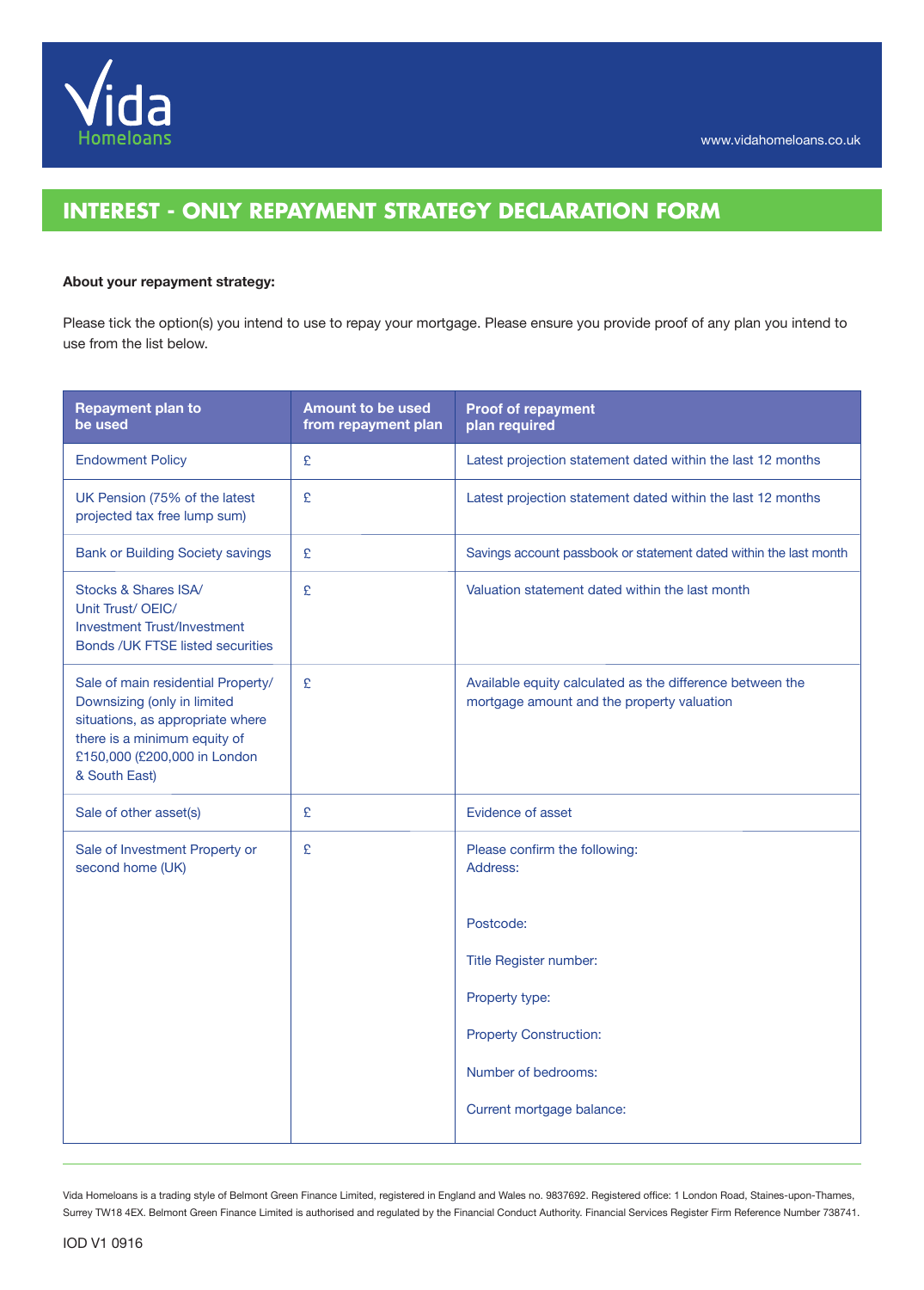

# **INTEREST - ONLY REPAYMENT STRATEGY DECLARATION FORM**

## **About your repayment strategy:**

Please tick the option(s) you intend to use to repay your mortgage. Please ensure you provide proof of any plan you intend to use from the list below.

| <b>Repayment plan to</b><br>be used                                                                                                                                                    | <b>Amount to be used</b><br>from repayment plan | <b>Proof of repayment</b><br>plan required                                                              |  |
|----------------------------------------------------------------------------------------------------------------------------------------------------------------------------------------|-------------------------------------------------|---------------------------------------------------------------------------------------------------------|--|
| <b>Endowment Policy</b>                                                                                                                                                                | £                                               | Latest projection statement dated within the last 12 months                                             |  |
| UK Pension (75% of the latest<br>projected tax free lump sum)                                                                                                                          | £                                               | Latest projection statement dated within the last 12 months                                             |  |
| <b>Bank or Building Society savings</b>                                                                                                                                                | £                                               | Savings account passbook or statement dated within the last month                                       |  |
| Stocks & Shares ISA/<br>Unit Trust/OEIC/<br><b>Investment Trust/Investment</b><br><b>Bonds /UK FTSE listed securities</b>                                                              | £                                               | Valuation statement dated within the last month                                                         |  |
| Sale of main residential Property/<br>Downsizing (only in limited<br>situations, as appropriate where<br>there is a minimum equity of<br>£150,000 (£200,000 in London<br>& South East) | £                                               | Available equity calculated as the difference between the<br>mortgage amount and the property valuation |  |
| Sale of other asset(s)                                                                                                                                                                 | £                                               | Evidence of asset                                                                                       |  |
| Sale of Investment Property or<br>second home (UK)                                                                                                                                     | £                                               | Please confirm the following:<br>Address:                                                               |  |
|                                                                                                                                                                                        |                                                 | Postcode:                                                                                               |  |
|                                                                                                                                                                                        |                                                 | Title Register number:                                                                                  |  |
|                                                                                                                                                                                        |                                                 | Property type:                                                                                          |  |
|                                                                                                                                                                                        |                                                 | <b>Property Construction:</b>                                                                           |  |
|                                                                                                                                                                                        |                                                 | Number of bedrooms:                                                                                     |  |
|                                                                                                                                                                                        |                                                 | Current mortgage balance:                                                                               |  |

Vida Homeloans is a trading style of Belmont Green Finance Limited, registered in England and Wales no. 9837692. Registered office: 1 London Road, Staines-upon-Thames, Surrey TW18 4EX. Belmont Green Finance Limited is authorised and regulated by the Financial Conduct Authority. Financial Services Register Firm Reference Number 738741.